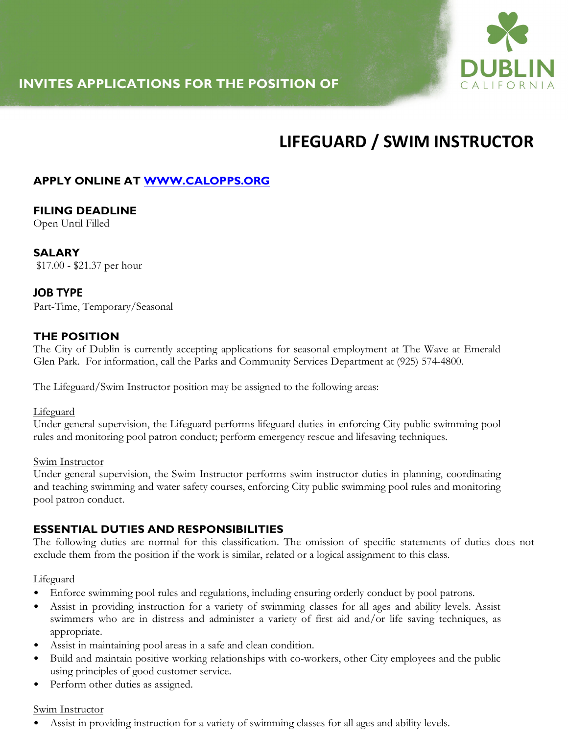

# **INVITES APPLICATIONS FOR THE POSITION OF**

# **LIFEGUARD / SWIM INSTRUCTOR**

# **APPLY ONLINE AT WWW.CALOPPS.ORG**

**FILING DEADLINE** Open Until Filled

**SALARY** \$17.00 - \$21.37 per hour

**JOB TYPE**  Part-Time, Temporary/Seasonal

### **THE POSITION**

The City of Dublin is currently accepting applications for seasonal employment at The Wave at Emerald Glen Park. For information, call the Parks and Community Services Department at (925) 574-4800.

The Lifeguard/Swim Instructor position may be assigned to the following areas:

#### **Lifeguard**

Under general supervision, the Lifeguard performs lifeguard duties in enforcing City public swimming pool rules and monitoring pool patron conduct; perform emergency rescue and lifesaving techniques.

#### Swim Instructor

Under general supervision, the Swim Instructor performs swim instructor duties in planning, coordinating and teaching swimming and water safety courses, enforcing City public swimming pool rules and monitoring pool patron conduct.

### **ESSENTIAL DUTIES AND RESPONSIBILITIES**

The following duties are normal for this classification. The omission of specific statements of duties does not exclude them from the position if the work is similar, related or a logical assignment to this class.

#### Lifeguard

- Enforce swimming pool rules and regulations, including ensuring orderly conduct by pool patrons.
- Assist in providing instruction for a variety of swimming classes for all ages and ability levels. Assist swimmers who are in distress and administer a variety of first aid and/or life saving techniques, as appropriate.
- Assist in maintaining pool areas in a safe and clean condition.
- Build and maintain positive working relationships with co-workers, other City employees and the public using principles of good customer service.
- Perform other duties as assigned.

#### Swim Instructor

• Assist in providing instruction for a variety of swimming classes for all ages and ability levels.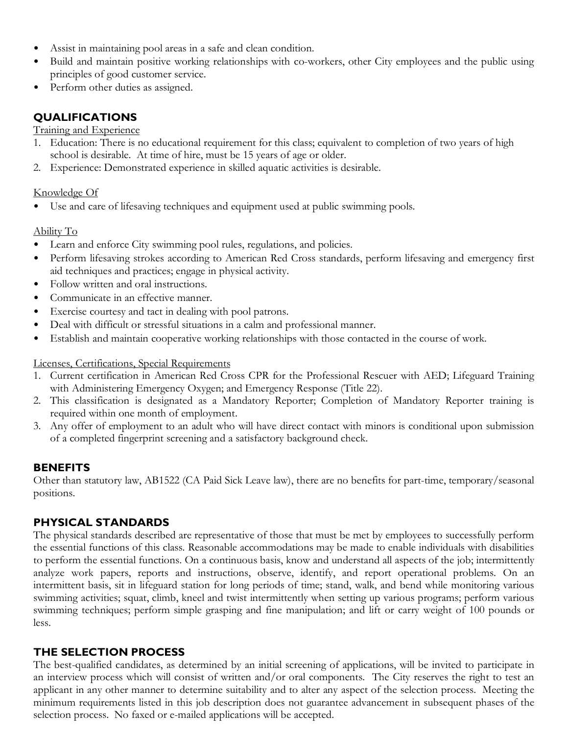- Assist in maintaining pool areas in a safe and clean condition.
- Build and maintain positive working relationships with co-workers, other City employees and the public using principles of good customer service.
- Perform other duties as assigned.

# **QUALIFICATIONS**

#### Training and Experience

- 1. Education: There is no educational requirement for this class; equivalent to completion of two years of high school is desirable. At time of hire, must be 15 years of age or older.
- 2. Experience: Demonstrated experience in skilled aquatic activities is desirable.

### Knowledge Of

• Use and care of lifesaving techniques and equipment used at public swimming pools.

#### Ability To

- Learn and enforce City swimming pool rules, regulations, and policies.
- Perform lifesaving strokes according to American Red Cross standards, perform lifesaving and emergency first aid techniques and practices; engage in physical activity.
- Follow written and oral instructions.
- Communicate in an effective manner.
- Exercise courtesy and tact in dealing with pool patrons.
- Deal with difficult or stressful situations in a calm and professional manner.
- Establish and maintain cooperative working relationships with those contacted in the course of work.

#### Licenses, Certifications, Special Requirements

- 1. Current certification in American Red Cross CPR for the Professional Rescuer with AED; Lifeguard Training with Administering Emergency Oxygen; and Emergency Response (Title 22).
- 2. This classification is designated as a Mandatory Reporter; Completion of Mandatory Reporter training is required within one month of employment.
- 3. Any offer of employment to an adult who will have direct contact with minors is conditional upon submission of a completed fingerprint screening and a satisfactory background check.

# **BENEFITS**

Other than statutory law, AB1522 (CA Paid Sick Leave law), there are no benefits for part-time, temporary/seasonal positions.

# **PHYSICAL STANDARDS**

The physical standards described are representative of those that must be met by employees to successfully perform the essential functions of this class. Reasonable accommodations may be made to enable individuals with disabilities to perform the essential functions. On a continuous basis, know and understand all aspects of the job; intermittently analyze work papers, reports and instructions, observe, identify, and report operational problems. On an intermittent basis, sit in lifeguard station for long periods of time; stand, walk, and bend while monitoring various swimming activities; squat, climb, kneel and twist intermittently when setting up various programs; perform various swimming techniques; perform simple grasping and fine manipulation; and lift or carry weight of 100 pounds or less.

# **THE SELECTION PROCESS**

The best-qualified candidates, as determined by an initial screening of applications, will be invited to participate in an interview process which will consist of written and/or oral components. The City reserves the right to test an applicant in any other manner to determine suitability and to alter any aspect of the selection process. Meeting the minimum requirements listed in this job description does not guarantee advancement in subsequent phases of the selection process. No faxed or e-mailed applications will be accepted.